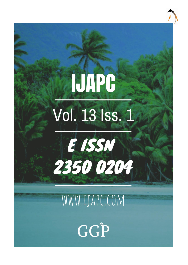# **IJAPC** Vol. 13 Iss. 1



# WWW.IJAPC.COM

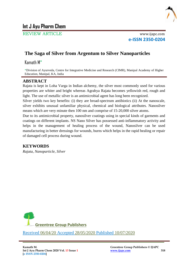

# **Int J Ayu Pharm Chem**

REVIEW ARTICLE www.ijapc.com

**e-ISSN 2350-0204**

# **The Saga of Silver from Argentum to Silver Nanoparticles**

Kamath M\*

\*Division of Ayurveda, Centre for Integrative Medicine and Research (CIMR), Manipal Academy of Higher Education, Manipal, KA, India

# **ABSTRACT**

Rajata is kept in Loha Varga in Indian alchemy, the silver most commonly used for various properties are whiter and bright whereas Agrahya Rajata becomes yellowish red, rough and light. The use of metallic silver is an antimicrobial agent has long been recognized.

Silver yields two key benefits: (i) they are broad-spectrum antibiotics (ii) At the nanoscale, silver exhibits unusual unfamiliar physical, chemical and biological attributes. Nanosilver means which are very minute then 100 nm and comprise of 15-20,000 silver atoms.

Due to its antimicrobial property, nanosilver coatings using in special kinds of garments and coatings on different implants. NS Nano Silver has possessed anti-inflammatory activity and helps in the management of healing process of the wound, Nanosilver can be used manufacturing in better dressings for wounds, burns which helps in the rapid healing or repair of damaged cell process during wound.

# **KEYWORDS**

*Rajata, Nanoparticle, Silver*



\_\_\_\_\_\_\_\_\_\_\_\_\_\_\_\_\_\_\_\_\_\_\_\_\_\_\_\_\_\_\_\_\_\_\_\_\_\_\_\_\_\_\_\_\_\_\_\_\_\_\_\_\_\_\_\_\_\_\_\_\_\_\_\_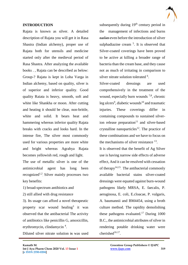

#### **INTRODUCTION**

Rajata is known as silver. A detailed description of Rajata you will get it in Rasa Shastra (Indian alchemy), proper use of Rajata both for utensils and medicine started only after the medieval period of Rasa Shastra. After analyzing the available books . , Rajata can be described as below: Group-? Rajata is kept in Loha Varga in Indian alchemy, based on quality, silver is of superior and inferior quality. Good quality Raiata is heavy, smooth, soft and white like Shankha or moon. After cutting and heating it should be clear, non-brittle, white and solid. It bears heat and hammering whereas inferior quality Rajata breaks with cracks and looks hard. In the intense fire, The silver most commonly used for various properties are more white and bright whereas Agrahya Rajata becomes yellowish red, rough and light.

The use of metallic silver is one of the antimicrobial agent has long been recognized<sup>1,2</sup> Silver mainly processes two key benefits:

- 1) broad-spectrum antibiotics and
- 2) still allied with drug resistance

3). Its usage can afford a novel therapeutic property scar wound healing<sup>3</sup> it was observed that the antibacterial The activity of antibiotics like penicillin G, amoxicillin, erythromycin, clindamycin<sup>4</sup>.

Diluted silver nitrate solution is was used

 $\mathcal{L}_\mathcal{L}$  , and the contribution of the contribution of the contribution of the contribution of the contribution of the contribution of the contribution of the contribution of the contribution of the contribution of

subsequently during  $19<sup>th</sup>$  century period in the management of infections and burns earlier even before the introduction of silver sulphadiazine cream  $5$ . It is observed that Silver-coated coverings have been proved to be active at killing a broader range of bacteria than the cream base, and they cause not as much of irritating in comparison to silver nitrate solution tolerated <sup>6</sup>.

Silver-coated dressings are used comprehensively in the treatment of the wound, especially burn wounds  $7,8$ , chronic leg ulcers<sup>9</sup>, diabetic wounds<sup>10</sup> and traumatic injuries. These coverings differ in containing compounds to sustained silverion release preparation $11$  and silver-based crystalline nanoparticles<sup>12</sup>. The practice of these combinations and we have to focus on the mechanisms of silver resistance <sup>13</sup>.

It is observed that the benefit of Ag Silver use is having narrow side effects of adverse effect, And it can be resolved with cessation of therapy<sup>14,15</sup>. The antibacterial commonly available bacterial stains silver-coated dressings were equated against burn-wound pathogens likely MRSA, E. faecalis, P. aeruginosa, E. coli, E.cloacae, P. vulgaris, A. baumannii and BM4454, using a broth culture method. The rapidity demolishing these pathogens evaluated.<sup>17</sup> During  $1000$ B.C., the antimicrobial attributes of silver in rendering potable drinking water were cherished $16.17$ .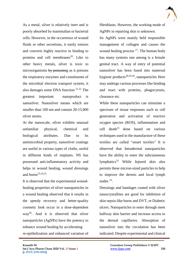As a metal, silver is relatively inert and is poorly absorbed by mammalian or bacterial cells. However, in the occurrence of wound fluids or other secretions, it easily ionizes and converts highly reactive in binding to proteins and cell membranes<sup>20</sup>. Like to other heavy metals, silver is toxic to microorganisms by poisoning as it poisons the respiratory enzymes and constituents of the microbial electron transport system, it also damages some DNA function 21,22 . The greatest important nanoproduct is nanosilver. Nanosilver means which are smaller than 100 nm and contain 20-15,000 silver atoms.

At the nanoscale, silver exhibits unusual unfamiliar physical, chemical and biological attributes. Due to its antimicrobial property, nanosilver coatings are useful in various types of cloths, useful in different kinds of implants. NS has possessed anti-inflammatory activity and helps in wound healing, wound dressings and burns $^{23,24,25}$ .

It is observed that the experimental woundhealing properties of silver nanoparticles in a wound healing observed that it results in the speedy recovery and better-quality cosmetic look occur in a dose-dependent way<sup>26</sup>. And it is observed that silver nanoparticles (AgNPs) have the potency to enhance wound healing by accelerating re-epithelization and enhanced variation of

 $\mathcal{L}_\mathcal{L}$  , and the contribution of the contribution of the contribution of the contribution of the contribution of the contribution of the contribution of the contribution of the contribution of the contribution of

fibroblasts. However, the working mode of AgNPs in repairing skin is unknown.

So AgNPs were mainly held responsible management of collagen and causes the wound healing process  $^{27}$ . The human body has many systems one among is a female genital tract. A way of entry of potential nanosilver has been fused into maternal hygiene products<sup>28,29,30</sup>, nanoparticles Here may undergo various processes like binding and react with proteins, phagocytosis, clearance etc.

While these nanoparticles can stimulate a spectrum of tissue responses such as cell generation and activation of reactive oxygen species (ROS), inflammation and cell death $31$  done based on various techniques used in the manufacture of these textiles are called "smart textiles" It is observed that Intradermal nanoparticles have the ability to enter the subcutaneous lymphatics $32$  While Injured skin also permits these micron-sized particles to help to improve the dermis and local lymph nodes<sup>33</sup>.

Dressings and bandages coated with silver nanocrystallites are good for inhibition of skin sepsis-like burns and DVT, or Diabetic ulcers. Nanoparticles to enter through meet halfway skin barrier and increase access to the dermal capillaries. Absorption of nanosilver into the circulation has been indicated. Despite experimental and clinical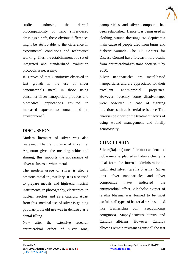

studies endorsing the dermal biocompatibility of nano silver-based dressings 34,35,36, these obvious differences might be attributable to the difference in experimental conditions and techniques working. Thus, the establishment of a set of integrated and standardized evaluation protocols is necessary.

It is revealed that Genotoxity observed in fast growth in the use of silver nanomaterials metal in those using consumer silver nanoparticle products and biomedical applications resulted in increased exposure to humans and the environment $37$ .

# **DISCUSSION**

Modern literature of silver was also reviewed. The Latin name of silver i.e. Argentum gives the meaning white and shining; this supports the appearance of silver as lustrous white metal.

The modern usage of silver is also a precious metal in jewellery. It is also used to prepare medals and high-end musical instruments, in photography, electronics, in nuclear reactors and as a catalyst. Apart from this, medical use of silver is gaining popularity. Its old use was in dentistry as a dental filling.

Now after the extensive research antimicrobial effect of silver ions,

 $\mathcal{L}_\mathcal{L}$  , and the contribution of the contribution of the contribution of the contribution of the contribution of the contribution of the contribution of the contribution of the contribution of the contribution of

nanoparticles and silver compound has been established. Hence it is being used in clothing, wound dressings etc. Septicemia main cause of people died from burns and diabetic wounds. The US Centers for Disease Control have forecast more deaths from antimicrobial-resistant bacteria t by 2050.

Silver nanoparticles are metal-based nanoparticles and are appreciated for their excellent antimicrobial properties. However, recently some disadvantages were observed in case of fighting infections, such as bacterial resistance. This analysis best part of the treatment tactics of using wound management and finally genotoxicity.

### **CONCLUSION**

Silver (Rajatha) one of the most ancient and noble metal explained in Indan alchemy its ideal form for internal administration is Calcinated silver (rajatha bhasma). Silver ions, silver nanoparticles and silver compounds have indicated the antimicrobial effect. Alcoholic extract of rajatha bhasma was formed to be most useful in all types of bacterial strain studied like Escherichia coli, Pseudomonas aeruginosa, Staphylococcus aureus and Candida albicans. However, Candida albicans remain resistant against all the test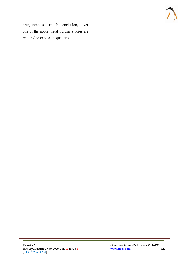

drug samples used. In conclusion, silver one of the noble metal .further studies are required to expose its qualities.

 $\mathcal{L}_\mathcal{L}$  , and the contribution of the contribution of the contribution of the contribution of the contribution of the contribution of the contribution of the contribution of the contribution of the contribution of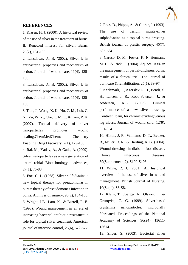

#### **REFERENCES**

1. Klasen, H. J. (2000). A historical review of the use of silver in the treatment of burns.

II. Renewed interest for silver. Burns, 26(2), 131-138.

2. Lansdown, A. B. (2002). Silver I: its antibacterial properties and mechanism of action. Journal of wound care, 11(4), 125- 130.

3. Lansdown, A. B. (2002). Silver I: its antibacterial properties and mechanism of action. Journal of wound care, 11(4), 125- 130.

3. Tian, J., Wong, K. K., Ho, C. M., Lok, C. N., Yu, W. Y., Che, C. M., ... & Tam, P. K. (2007). Topical delivery of silver nanoparticles promotes wound healing.ChemMedChem: Chemistry Enabling Drug Discovery, 2(1), 129-136.

4. Rai, M., Yadav, A., & Gade, A. (2009). Silver nanoparticles as a new generation of antimicrobials.Biotechnology advances, 27(1), 76-83.

5. Fox, C. L. (1968). Silver sulfadiazine-a new topical therapy for pseudomonas in burns: therapy of pseudomonas infection in burns. Archives of surgery, 96(2), 184-188. 6. Wright, J.B., Lam, K., & Burrell, R. E. (1998). Wound management in an era of increasing bacterial antibiotic resistance: a role for topical silver treatment. American journal of infection control, 26(6), 572-577.

7. Ross, D., Phipps, A., & Clarke, J. (1993). The use of cerium nitrate-silver sulphadiazine as a topical burns dressing. British journal of plastic surgery, 46(7), 582-584.

8. Caruso, D. M., Foster, K. N.,Hermans, M. H., & Rick, C. (2004). Aquacel Ag® in the management of partial-thickness burns: results of a clinical trial. The Journal of burn care & rehabilitation, 25(1), 89-97.

9. Karlsmark, T., Agerslev, R. H., Bendz, S. H., Larsen, J. R., Roed-Petersen, J., & Andersen, K.E. (2003). Clinical performance of a new silver dressing, Contreet Foam, for chronic exuding venous leg ulcers. Journal of wound care, 12(9), 351-354.

10. Hilton, J. R., Williams, D. T., Beuker, B., Miller, D. R., & Harding, K. G. (2004). Wound dressings in diabetic foot disease. Clinical infectious diseases, 39(Supplement\_2), S100-S103.

11. White, R. J. (2001). An historical overview of the use of silver in wound management. British Journal of Nursing, 10(Sup4), S3-S8.

12. Klaus, T., Joerger, R., Olsson, E., & Granqvist, C. G. (1999). Silver-based crystalline nanoparticles, microbially fabricated. Proceedings of the National Academy of Sciences, 96(24), 13611- 13614.

13. Silver, S. (2003). Bacterial silver

 $\mathcal{L}_\mathcal{L}$  , and the contribution of the contribution of the contribution of the contribution of the contribution of the contribution of the contribution of the contribution of the contribution of the contribution of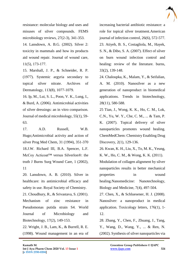

resistance: molecular biology and uses and misuses of silver compounds. FEMS microbiology reviews, 27(2-3), 341-353.

14. Lansdown, A. B.G. (2002). Silver 2: toxicity in mammals and how its products aid wound repair. Journal of wound care, 11(5), 173-177.

15. Marshall, J. P., & Schneider, R. P. (1977). Systemic argyria secondary to topical silver nitrate. Archives of Dermatology, 113(8), 1077-1079.

16. Ip, M., Lui, S. L., Poon, V. K., Lung, I., & Burd, A. (2006). Antimicrobial activities of silver dressings: an in vitro comparison. Journal of medical microbiology, 55(1), 59- 63.

17. A.D. Russell, W.B. Hugo;Antimicrobial activity and action of silver Prog Med Chem, 31 (1994), 351-370 18.J.W. Richard III, B.A. Spencer, L.F. McCoy Acticoat™ versus Silverlon®: the truth J Burns Surg Wound Care, 1 (2002), 11

20. Lansdown, A. B. (2010). Silver in healthcare: its antimicrobial efficacy and safety in use. Royal Society of Chemistry.

21. Choudhury, R., & Srivastava, S. (2001). Mechanism of zinc resistance in Pseudomonas putida strain S4. World Journal of Microbiology and Biotechnology, 17(2), 149-153.

22. Wright, J. B., Lam, K., & Burrell, R. E. (1998). Wound management in an era of

 $\mathcal{L}_\mathcal{L}$  , and the contribution of the contribution of the contribution of the contribution of the contribution of the contribution of the contribution of the contribution of the contribution of the contribution of

increasing bacterial antibiotic resistance: a role for topical silver treatment.American journal of infection control, 26(6), 572-577. 23. Atiyeh, B. S., Costagliola, M., Hayek, S. N., & Dibo, S. A. (2007). Effect of silver on burn wound infection control and healing: review of the literature. burns, 33(2), 139-148.

24. Chaloupka, K., Malam, Y., & Seifalian, A. M. (2010). Nanosilver as a new generation of nanoproduct in biomedical applications. Trends in biotechnology, 28(11), 580-588.

25 Tian, J., Wong, K. K., Ho, C. M., Lok, C.N., Yu, W. Y., Che, C. M., ... & Tam, P. K. (2007). Topical delivery of silver nanoparticles promotes wound healing. ChemMedChem: Chemistry Enabling Drug Discovery, 2(1), 129-136.

26. Kwan, K. H., Liu, X., To, M. K., Yeung, K. W., Ho, C. M., & Wong, K. K. (2011).

Modulation of collagen alignment by silver nanoparticles results in better mechanical properties in wound healing.Nanomedicine: Nanotechnology, Biology and Medicine, 7(4), 497-504.

27. Chen, X., & Schluesener, H. J. (2008). Nanosilver: a nanoproduct in medical application. Toxicology letters, 176(1), 1- 12.

28. Zhang, Y., Chen, F., Zhuang, J., Tang, Y., Wang, D., Wang, Y., ... & Ren, N. (2002). Synthesis of silver nanoparticles via